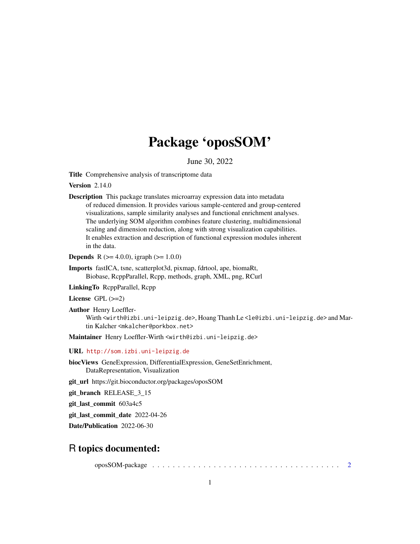## Package 'oposSOM'

June 30, 2022

Title Comprehensive analysis of transcriptome data

**Version 2.14.0** 

Description This package translates microarray expression data into metadata of reduced dimension. It provides various sample-centered and group-centered visualizations, sample similarity analyses and functional enrichment analyses. The underlying SOM algorithm combines feature clustering, multidimensional scaling and dimension reduction, along with strong visualization capabilities. It enables extraction and description of functional expression modules inherent in the data.

**Depends** R  $(>= 4.0.0)$ , igraph  $(>= 1.0.0)$ 

Imports fastICA, tsne, scatterplot3d, pixmap, fdrtool, ape, biomaRt, Biobase, RcppParallel, Rcpp, methods, graph, XML, png, RCurl

LinkingTo RcppParallel, Rcpp

License GPL (>=2)

Author Henry Loeffler-Wirth <wirth@izbi.uni-leipzig.de>, Hoang Thanh Le <le@izbi.uni-leipzig.de> and Martin Kalcher <mkalcher@porkbox.net>

Maintainer Henry Loeffler-Wirth <wirth@izbi.uni-leipzig.de>

URL <http://som.izbi.uni-leipzig.de>

biocViews GeneExpression, DifferentialExpression, GeneSetEnrichment, DataRepresentation, Visualization

git\_url https://git.bioconductor.org/packages/oposSOM

git\_branch RELEASE\_3\_15

git\_last\_commit 603a4c5

git\_last\_commit\_date 2022-04-26

Date/Publication 2022-06-30

### R topics documented:

oposSOM-package . . . . . . . . . . . . . . . . . . . . . . . . . . . . . . . . . . . . . [2](#page-1-0)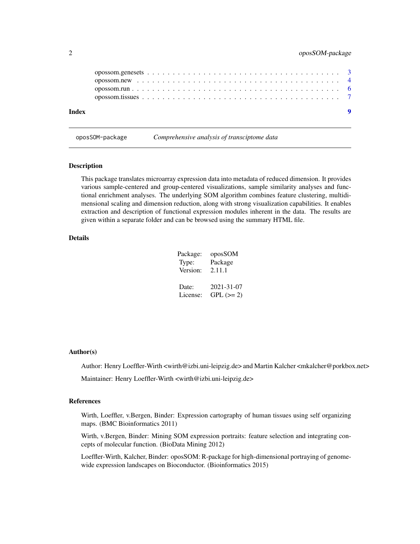<span id="page-1-0"></span>

| Index | $\bullet$ |  |
|-------|-----------|--|
|       |           |  |
|       |           |  |
|       |           |  |

oposSOM-package *Comprehensive analysis of transciptome data*

#### Description

This package translates microarray expression data into metadata of reduced dimension. It provides various sample-centered and group-centered visualizations, sample similarity analyses and functional enrichment analyses. The underlying SOM algorithm combines feature clustering, multidimensional scaling and dimension reduction, along with strong visualization capabilities. It enables extraction and description of functional expression modules inherent in the data. The results are given within a separate folder and can be browsed using the summary HTML file.

#### Details

| Package: | oposSOM     |
|----------|-------------|
| Type:    | Package     |
| Version: | 2.11.1      |
| Date:    | 2021-31-07  |
| License: | $GPL (= 2)$ |

#### Author(s)

Author: Henry Loeffler-Wirth <wirth@izbi.uni-leipzig.de> and Martin Kalcher <mkalcher@porkbox.net>

Maintainer: Henry Loeffler-Wirth <wirth@izbi.uni-leipzig.de>

#### References

Wirth, Loeffler, v.Bergen, Binder: Expression cartography of human tissues using self organizing maps. (BMC Bioinformatics 2011)

Wirth, v.Bergen, Binder: Mining SOM expression portraits: feature selection and integrating concepts of molecular function. (BioData Mining 2012)

Loeffler-Wirth, Kalcher, Binder: oposSOM: R-package for high-dimensional portraying of genomewide expression landscapes on Bioconductor. (Bioinformatics 2015)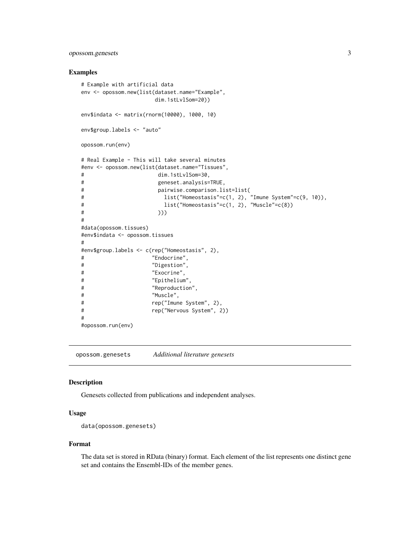#### <span id="page-2-0"></span>opossom.genesets 3

#### Examples

```
# Example with artificial data
env <- opossom.new(list(dataset.name="Example",
                 dim.1stLvlSom=20))
env$indata <- matrix(rnorm(10000), 1000, 10)
env$group.labels <- "auto"
opossom.run(env)
# Real Example - This will take several minutes
#env <- opossom.new(list(dataset.name="Tissues",
# dim.1stLvlSom=30,
# geneset.analysis=TRUE,
# pairwise.comparison.list=list(
# list("Homeostasis"=c(1, 2), "Imune System"=c(9, 10)),
# list("Homeostasis"=c(1, 2), "Muscle"=c(8))
\# )))
#
#data(opossom.tissues)
#env$indata <- opossom.tissues
#
#env$group.labels <- c(rep("Homeostasis", 2),
# "Endocrine",
# "Digestion",
# "Exocrine",
# "Epithelium",
# "Reproduction",
# "Muscle",
# rep("Imune System", 2),
# rep("Nervous System", 2))
#
#opossom.run(env)
```
opossom.genesets *Additional literature genesets*

#### Description

Genesets collected from publications and independent analyses.

#### Usage

```
data(opossom.genesets)
```
#### Format

The data set is stored in RData (binary) format. Each element of the list represents one distinct gene set and contains the Ensembl-IDs of the member genes.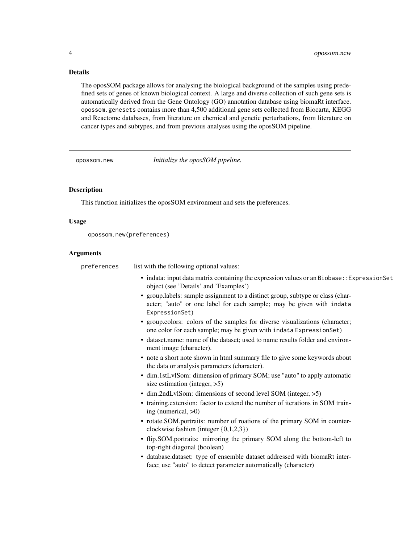#### Details

The oposSOM package allows for analysing the biological background of the samples using predefined sets of genes of known biological context. A large and diverse collection of such gene sets is automatically derived from the Gene Ontology (GO) annotation database using biomaRt interface. opossom.genesets contains more than 4,500 additional gene sets collected from Biocarta, KEGG and Reactome databases, from literature on chemical and genetic perturbations, from literature on cancer types and subtypes, and from previous analyses using the oposSOM pipeline.

opossom.new *Initialize the oposSOM pipeline.*

#### Description

This function initializes the oposSOM environment and sets the preferences.

#### Usage

```
opossom.new(preferences)
```
#### Arguments

| preferences | list with the following optional values:                                                                                                                                 |
|-------------|--------------------------------------------------------------------------------------------------------------------------------------------------------------------------|
|             | • indata: input data matrix containing the expression values or an Biobase: : ExpressionSet<br>object (see 'Details' and 'Examples')                                     |
|             | • group.labels: sample assignment to a distinct group, subtype or class (char-<br>acter; "auto" or one label for each sample; may be given with indata<br>ExpressionSet) |
|             | • group.colors: colors of the samples for diverse visualizations (character;<br>one color for each sample; may be given with indata ExpressionSet)                       |
|             | • dataset.name: name of the dataset; used to name results folder and environ-<br>ment image (character).                                                                 |
|             | • note a short note shown in html summary file to give some keywords about<br>the data or analysis parameters (character).                                               |
|             | • dim.1stLvlSom: dimension of primary SOM; use "auto" to apply automatic<br>size estimation (integer, $>5$ )                                                             |
|             | $\bullet$ dim.2ndLvlSom: dimensions of second level SOM (integer, $>5$ )                                                                                                 |
|             | • training.extension: factor to extend the number of iterations in SOM train-<br>ing (numerical, $>0$ )                                                                  |
|             | • rotate.SOM.portraits: number of roations of the primary SOM in counter-<br>clockwise fashion (integer $\{0,1,2,3\}$ )                                                  |
|             | • flip.SOM.portraits: mirroring the primary SOM along the bottom-left to<br>top-right diagonal (boolean)                                                                 |
|             | • database.dataset: type of ensemble dataset addressed with biomaRt inter-<br>face; use "auto" to detect parameter automatically (character)                             |
|             |                                                                                                                                                                          |

<span id="page-3-0"></span>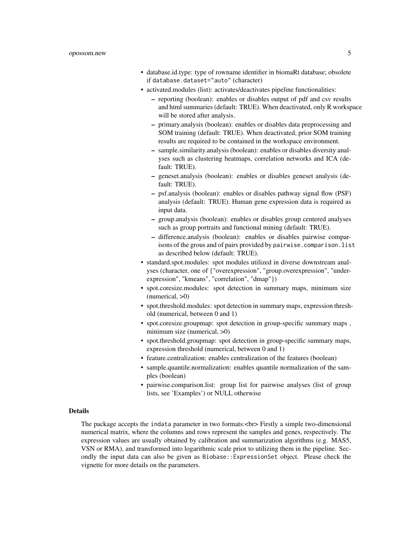- database.id.type: type of rowname identifier in biomaRt database; obsolete if database.dataset="auto" (character)
- activated.modules (list): activates/deactivates pipeline functionalities:
	- reporting (boolean): enables or disables output of pdf and csv results and html summaries (default: TRUE). When deactivated, only R workspace will be stored after analysis.
	- primary.analysis (boolean): enables or disables data preprocessing and SOM training (default: TRUE). When deactivated, prior SOM training results are required to be contained in the workspace environment.
	- sample.similarity.analysis (boolean): enables or disables diversity analyses such as clustering heatmaps, correlation networks and ICA (default: TRUE).
	- geneset.analysis (boolean): enables or disables geneset analysis (default: TRUE).
	- psf.analysis (boolean): enables or disables pathway signal flow (PSF) analysis (default: TRUE). Human gene expression data is required as input data.
	- group.analysis (boolean): enables or disables group centered analyses such as group portraits and functional mining (default: TRUE).
	- difference.analysis (boolean): enables or disables pairwise comparisons of the grous and of pairs provided by pairwise.comparison.list as described below (default: TRUE).
- standard.spot.modules: spot modules utilized in diverse downstream analyses (character, one of {"overexpression", "group.overexpression", "underexpression", "kmeans", "correlation", "dmap"})
- spot.coresize.modules: spot detection in summary maps, minimum size  $(numerical, >0)$
- spot.threshold.modules: spot detection in summary maps, expression threshold (numerical, between 0 and 1)
- spot.coresize.groupmap: spot detection in group-specific summary maps , minimum size (numerical, >0)
- spot.threshold.groupmap: spot detection in group-specific summary maps, expression threshold (numerical, between 0 and 1)
- feature.centralization: enables centralization of the features (boolean)
- sample.quantile.normalization: enables quantile normalization of the samples (boolean)
- pairwise.comparison.list: group list for pairwise analyses (list of group lists, see 'Examples') or NULL otherwise

#### Details

The package accepts the indata parameter in two formats:<br> Firstly a simple two-dimensional numerical matrix, where the columns and rows represent the samples and genes, respectively. The expression values are usually obtained by calibration and summarization algorithms (e.g. MAS5, VSN or RMA), and transformed into logarithmic scale prior to utilizing them in the pipeline. Secondly the input data can also be given as Biobase::ExpressionSet object. Please check the vignette for more details on the parameters.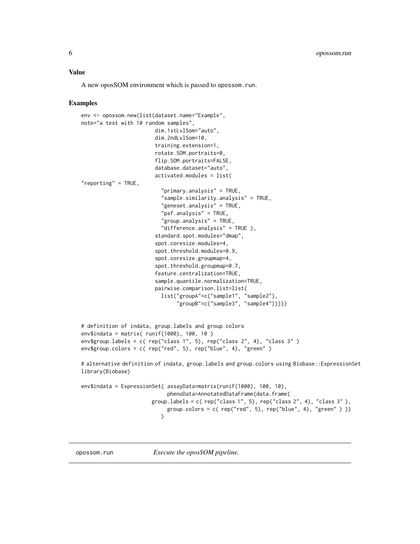#### <span id="page-5-0"></span>Value

A new oposSOM environment which is passed to opossom.run.

#### Examples

```
env <- opossom.new(list(dataset.name="Example",
note="a test with 10 random samples",
                        dim.1stLvlSom="auto",
                        dim.2ndLvlSom=10,
                        training.extension=1,
                        rotate.SOM.portraits=0,
                        flip.SOM.portraits=FALSE,
                        database.dataset="auto",
                        activated.modules = list(
"reporting" = TRUE,
                          "primary.analysis" = TRUE,
                          "sample.similarity.analysis" = TRUE,
                          "geneset.analysis" = TRUE,
                          "psf.analysis" = TRUE,
                          "group.analysis" = TRUE,
                          "difference.analysis" = TRUE ),
                        standard.spot.modules="dmap",
                        spot.coresize.modules=4,
                        spot.threshold.modules=0.9,
                        spot.coresize.groupmap=4,
                        spot.threshold.groupmap=0.7,
                        feature.centralization=TRUE,
                        sample.quantile.normalization=TRUE,
                        pairwise.comparison.list=list(
                          list("groupA"=c("sample1", "sample2"),
                                "groupB"=c("sample3", "sample4")))))
# definition of indata, group.labels and group.colors
env$indata = matrix( runif(1000), 100, 10 )
env$group.labels = c( rep("class 1", 5), rep("class 2", 4), "class 3" )
env$group.colors = c( rep("red", 5), rep("blue", 4), "green" )
# alternative definition of indata, group.labels and group.colors using Biobase::ExpressionSet
library(Biobase)
env$indata = ExpressionSet( assayData=matrix(runif(1000), 100, 10),
                            phenoData=AnnotatedDataFrame(data.frame(
                       group.labels = c( rep("class 1", 5), rep("class 2", 4), "class 3"),
                            group.colors = c( rep("red", 5), rep("blue", 4), "green")))
                          \overline{)}
```
opossom.run *Execute the oposSOM pipeline.*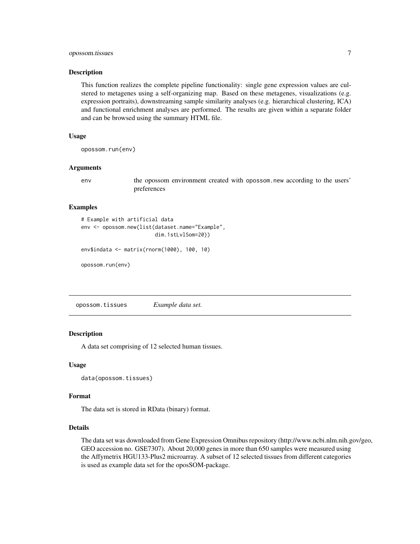#### <span id="page-6-0"></span>opossom.tissues 7

#### Description

This function realizes the complete pipeline functionality: single gene expression values are culstered to metagenes using a self-organizing map. Based on these metagenes, visualizations (e.g. expression portraits), downstreaming sample similarity analyses (e.g. hierarchical clustering, ICA) and functional enrichment analyses are performed. The results are given within a separate folder and can be browsed using the summary HTML file.

#### Usage

opossom.run(env)

#### Arguments

env the opossom environment created with opossom.new according to the users' preferences

#### Examples

# Example with artificial data env <- opossom.new(list(dataset.name="Example", dim.1stLvlSom=20))

```
env$indata <- matrix(rnorm(1000), 100, 10)
```
opossom.run(env)

opossom.tissues *Example data set.*

#### **Description**

A data set comprising of 12 selected human tissues.

#### Usage

data(opossom.tissues)

#### Format

The data set is stored in RData (binary) format.

#### Details

The data set was downloaded from Gene Expression Omnibus repository (http://www.ncbi.nlm.nih.gov/geo, GEO accession no. GSE7307). About 20,000 genes in more than 650 samples were measured using the Affymetrix HGU133-Plus2 microarray. A subset of 12 selected tissues from different categories is used as example data set for the oposSOM-package.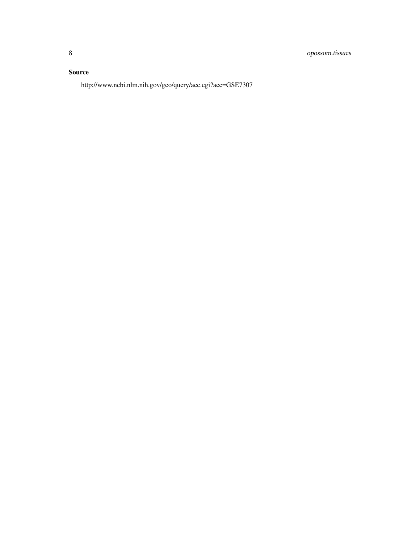#### Source

http://www.ncbi.nlm.nih.gov/geo/query/acc.cgi?acc=GSE7307